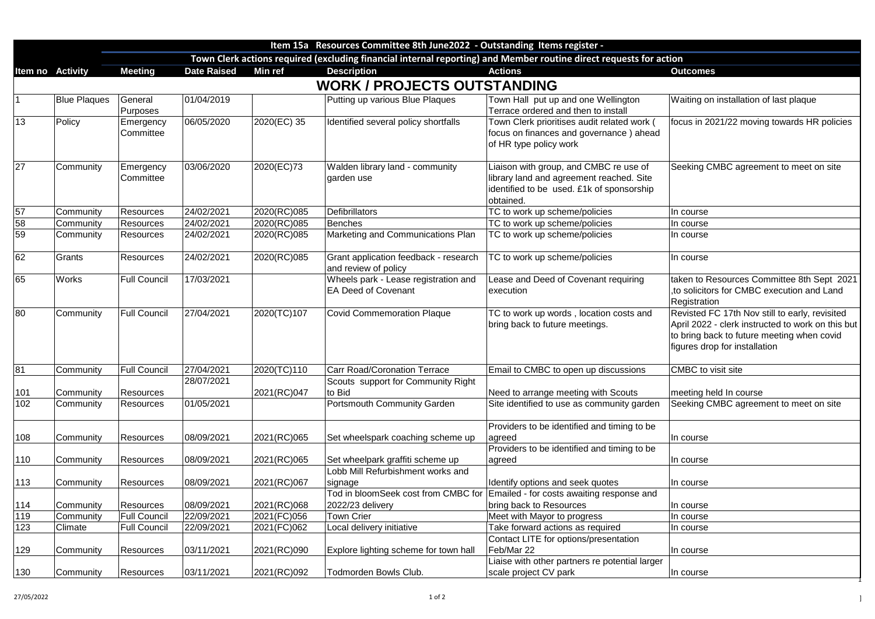|     |                         | Item 15a Resources Committee 8th June 2022 - Outstanding Items register -                                          |                    |                |                                                                    |                                                                                                                                              |                                                                                                                                                                               |  |  |  |
|-----|-------------------------|--------------------------------------------------------------------------------------------------------------------|--------------------|----------------|--------------------------------------------------------------------|----------------------------------------------------------------------------------------------------------------------------------------------|-------------------------------------------------------------------------------------------------------------------------------------------------------------------------------|--|--|--|
|     |                         | Town Clerk actions required (excluding financial internal reporting) and Member routine direct requests for action |                    |                |                                                                    |                                                                                                                                              |                                                                                                                                                                               |  |  |  |
|     | <b>Item no Activity</b> | <b>Meeting</b>                                                                                                     | <b>Date Raised</b> | <b>Min ref</b> | <b>Description</b>                                                 | <b>Actions</b>                                                                                                                               | <b>Outcomes</b>                                                                                                                                                               |  |  |  |
|     |                         |                                                                                                                    |                    |                | <b>WORK / PROJECTS OUTSTANDING</b>                                 |                                                                                                                                              |                                                                                                                                                                               |  |  |  |
|     | <b>Blue Plaques</b>     | General<br>Purposes                                                                                                | 01/04/2019         |                | Putting up various Blue Plaques                                    | Town Hall put up and one Wellington<br>Terrace ordered and then to install                                                                   | Waiting on installation of last plaque                                                                                                                                        |  |  |  |
| 13  | Policy                  | Emergency<br>Committee                                                                                             | 06/05/2020         | 2020(EC) 35    | Identified several policy shortfalls                               | Town Clerk prioritises audit related work (<br>focus on finances and governance) ahead<br>of HR type policy work                             | focus in 2021/22 moving towards HR polici                                                                                                                                     |  |  |  |
| 27  | Community               | Emergency<br>Committee                                                                                             | 03/06/2020         | 2020(EC)73     | Walden library land - community<br>garden use                      | Liaison with group, and CMBC re use of<br>library land and agreement reached. Site<br>identified to be used. £1k of sponsorship<br>obtained. | Seeking CMBC agreement to meet on site                                                                                                                                        |  |  |  |
| 57  | Community               | <b>Resources</b>                                                                                                   | 24/02/2021         | 2020(RC)085    | <b>Defibrillators</b>                                              | TC to work up scheme/policies                                                                                                                | In course                                                                                                                                                                     |  |  |  |
| 58  | Community               | Resources                                                                                                          | 24/02/2021         | 2020(RC)085    | <b>Benches</b>                                                     | TC to work up scheme/policies                                                                                                                | In course                                                                                                                                                                     |  |  |  |
| 59  | Community               | Resources                                                                                                          | 24/02/2021         | 2020(RC)085    | Marketing and Communications Plan                                  | TC to work up scheme/policies                                                                                                                | In course                                                                                                                                                                     |  |  |  |
| 62  | Grants                  | Resources                                                                                                          | 24/02/2021         | 2020(RC)085    | Grant application feedback - research<br>and review of policy      | TC to work up scheme/policies                                                                                                                | In course                                                                                                                                                                     |  |  |  |
| 65  | <b>Works</b>            | <b>Full Council</b>                                                                                                | 17/03/2021         |                | Wheels park - Lease registration and<br><b>EA Deed of Covenant</b> | Lease and Deed of Covenant requiring<br>execution                                                                                            | taken to Resources Committee 8th Sept 2<br>to solicitors for CMBC execution and Land<br>Registration                                                                          |  |  |  |
| 80  | Community               | <b>Full Council</b>                                                                                                | 27/04/2021         | 2020(TC)107    | <b>Covid Commemoration Plaque</b>                                  | TC to work up words, location costs and<br>bring back to future meetings.                                                                    | Revisted FC 17th Nov still to early, revisite<br>April 2022 - clerk instructed to work on this<br>to bring back to future meeting when covid<br>figures drop for installation |  |  |  |
| 81  | Community               | <b>Full Council</b>                                                                                                | 27/04/2021         | 2020(TC)110    | <b>Carr Road/Coronation Terrace</b>                                | Email to CMBC to open up discussions                                                                                                         | CMBC to visit site                                                                                                                                                            |  |  |  |
|     |                         |                                                                                                                    | 28/07/2021         |                | Scouts support for Community Right                                 |                                                                                                                                              |                                                                                                                                                                               |  |  |  |
| 101 | Community               | <b>Resources</b>                                                                                                   |                    | 2021(RC)047    | to Bid                                                             | Need to arrange meeting with Scouts                                                                                                          | meeting held In course                                                                                                                                                        |  |  |  |
| 102 | Community               | Resources                                                                                                          | 01/05/2021         |                | <b>Portsmouth Community Garden</b>                                 | Site identified to use as community garden                                                                                                   | Seeking CMBC agreement to meet on site                                                                                                                                        |  |  |  |
| 108 | Community               | <b>Resources</b>                                                                                                   | 08/09/2021         | 2021(RC)065    | Set wheelspark coaching scheme up                                  | Providers to be identified and timing to be<br>agreed                                                                                        | In course                                                                                                                                                                     |  |  |  |
|     |                         |                                                                                                                    |                    |                |                                                                    | Providers to be identified and timing to be                                                                                                  |                                                                                                                                                                               |  |  |  |
| 110 | Community               | <b>Resources</b>                                                                                                   | 08/09/2021         | 2021(RC)065    | Set wheelpark graffiti scheme up                                   | agreed                                                                                                                                       | In course                                                                                                                                                                     |  |  |  |
|     |                         |                                                                                                                    |                    |                | Lobb Mill Refurbishment works and                                  |                                                                                                                                              |                                                                                                                                                                               |  |  |  |
| 113 | Community               | Resources                                                                                                          | 08/09/2021         | 2021(RC)067    | signage                                                            | Identify options and seek quotes                                                                                                             | In course                                                                                                                                                                     |  |  |  |
|     |                         |                                                                                                                    |                    |                | Tod in bloomSeek cost from CMBC for                                | Emailed - for costs awaiting response and                                                                                                    |                                                                                                                                                                               |  |  |  |
| 114 | Community               | <b>Resources</b>                                                                                                   | 08/09/2021         | 2021(RC)068    | 2022/23 delivery                                                   | bring back to Resources                                                                                                                      | In course                                                                                                                                                                     |  |  |  |
| 119 | Community               | <b>Full Council</b>                                                                                                | 22/09/2021         | 2021(FC)056    | <b>Town Crier</b>                                                  | Meet with Mayor to progress                                                                                                                  | In course                                                                                                                                                                     |  |  |  |
| 123 | <b>Climate</b>          | <b>Full Council</b>                                                                                                | 22/09/2021         | 2021(FC)062    | Local delivery initiative                                          | Take forward actions as required                                                                                                             | In course                                                                                                                                                                     |  |  |  |
|     |                         |                                                                                                                    |                    |                |                                                                    | Contact LITE for options/presentation                                                                                                        |                                                                                                                                                                               |  |  |  |
| 129 | Community               | <b>Resources</b>                                                                                                   | 03/11/2021         | 2021(RC)090    | Explore lighting scheme for town hall                              | Feb/Mar 22                                                                                                                                   | In course                                                                                                                                                                     |  |  |  |
|     |                         |                                                                                                                    |                    |                |                                                                    | Liaise with other partners re potential larger                                                                                               |                                                                                                                                                                               |  |  |  |
| 130 | Community               | Resources                                                                                                          | 03/11/2021         | 2021(RC)092    | Todmorden Bowls Club.                                              | scale project CV park                                                                                                                        | In course                                                                                                                                                                     |  |  |  |

| Waiting on installation of last plaque                                                              |
|-----------------------------------------------------------------------------------------------------|
| focus in 2021/22 moving towards HR policies                                                         |
|                                                                                                     |
| Seeking CMBC agreement to meet on site                                                              |
|                                                                                                     |
|                                                                                                     |
| In course                                                                                           |
| In course                                                                                           |
| In course                                                                                           |
| In course                                                                                           |
| taken to Resources Committee 8th Sept 2021                                                          |
| to solicitors for CMBC execution and Land<br>Registration                                           |
|                                                                                                     |
| Revisted FC 17th Nov still to early, revisited<br>April 2022 - clerk instructed to work on this but |
| to bring back to future meeting when covid                                                          |
| figures drop for installation                                                                       |
| <b>CMBC</b> to visit site                                                                           |
| meeting held In course                                                                              |
| Seeking CMBC agreement to meet on site                                                              |
|                                                                                                     |
| In course                                                                                           |
| In course                                                                                           |
| In course                                                                                           |
|                                                                                                     |
| In course                                                                                           |
| In course                                                                                           |
| In course                                                                                           |
| In course                                                                                           |
| In course                                                                                           |
|                                                                                                     |